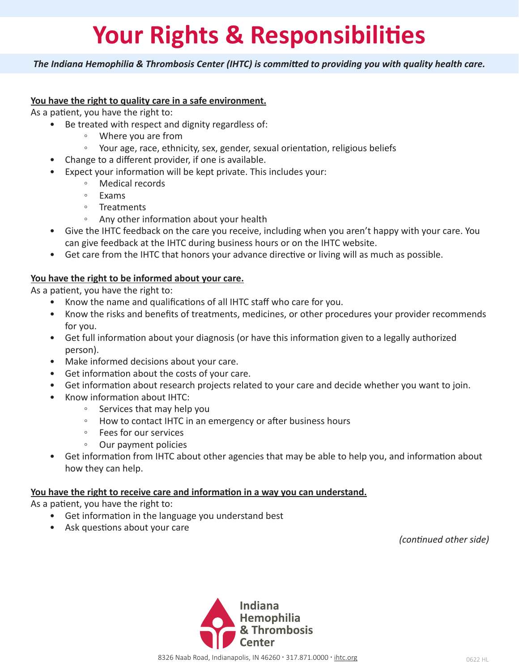## **Your Rights & Responsibilities**

*The Indiana Hemophilia & Thrombosis Center (IHTC) is committed to providing you with quality health care.*

#### **You have the right to quality care in a safe environment.**

As a patient, you have the right to:

- Be treated with respect and dignity regardless of:
	- Where you are from
	- Your age, race, ethnicity, sex, gender, sexual orientation, religious beliefs
- Change to a different provider, if one is available.
- Expect your information will be kept private. This includes your:
	- Medical records
	- Exams
	- Treatments
	- Any other information about your health
- Give the IHTC feedback on the care you receive, including when you aren't happy with your care. You can give feedback at the IHTC during business hours or on the IHTC website.
- Get care from the IHTC that honors your advance directive or living will as much as possible.

#### **You have the right to be informed about your care.**

As a patient, you have the right to:

- Know the name and qualifications of all IHTC staff who care for you.
- Know the risks and benefits of treatments, medicines, or other procedures your provider recommends for you.
- Get full information about your diagnosis (or have this information given to a legally authorized person).
- Make informed decisions about your care.
- Get information about the costs of your care.
- Get information about research projects related to your care and decide whether you want to join.
- Know information about IHTC:
	- Services that may help you
	- How to contact IHTC in an emergency or after business hours
	- Fees for our services
	- Our payment policies
- Get information from IHTC about other agencies that may be able to help you, and information about how they can help.

#### **You have the right to receive care and information in a way you can understand.**

As a patient, you have the right to:

- Get information in the language you understand best
- Ask questions about your care

*(continued other side)*